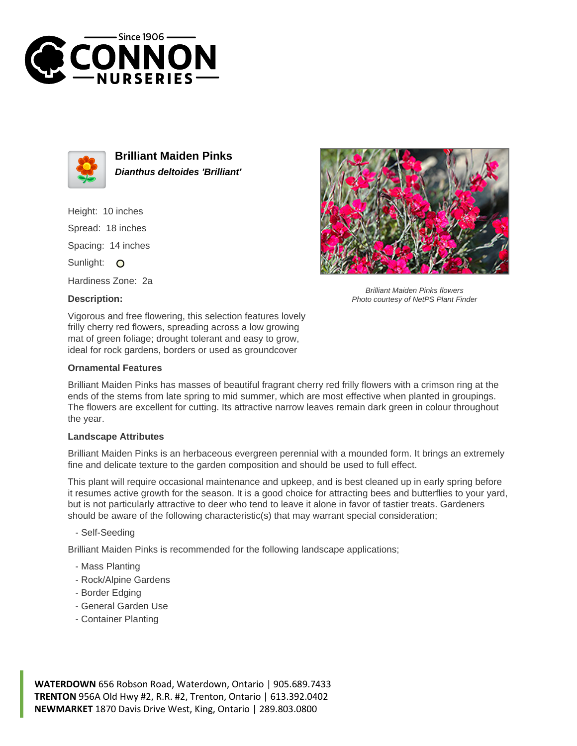



**Brilliant Maiden Pinks Dianthus deltoides 'Brilliant'**

Height: 10 inches Spread: 18 inches Spacing: 14 inches Sunlight: O Hardiness Zone: 2a

**Description:**



Brilliant Maiden Pinks flowers Photo courtesy of NetPS Plant Finder

Vigorous and free flowering, this selection features lovely frilly cherry red flowers, spreading across a low growing mat of green foliage; drought tolerant and easy to grow, ideal for rock gardens, borders or used as groundcover

## **Ornamental Features**

Brilliant Maiden Pinks has masses of beautiful fragrant cherry red frilly flowers with a crimson ring at the ends of the stems from late spring to mid summer, which are most effective when planted in groupings. The flowers are excellent for cutting. Its attractive narrow leaves remain dark green in colour throughout the year.

## **Landscape Attributes**

Brilliant Maiden Pinks is an herbaceous evergreen perennial with a mounded form. It brings an extremely fine and delicate texture to the garden composition and should be used to full effect.

This plant will require occasional maintenance and upkeep, and is best cleaned up in early spring before it resumes active growth for the season. It is a good choice for attracting bees and butterflies to your yard, but is not particularly attractive to deer who tend to leave it alone in favor of tastier treats. Gardeners should be aware of the following characteristic(s) that may warrant special consideration;

- Self-Seeding

Brilliant Maiden Pinks is recommended for the following landscape applications;

- Mass Planting
- Rock/Alpine Gardens
- Border Edging
- General Garden Use
- Container Planting

**WATERDOWN** 656 Robson Road, Waterdown, Ontario | 905.689.7433 **TRENTON** 956A Old Hwy #2, R.R. #2, Trenton, Ontario | 613.392.0402 **NEWMARKET** 1870 Davis Drive West, King, Ontario | 289.803.0800